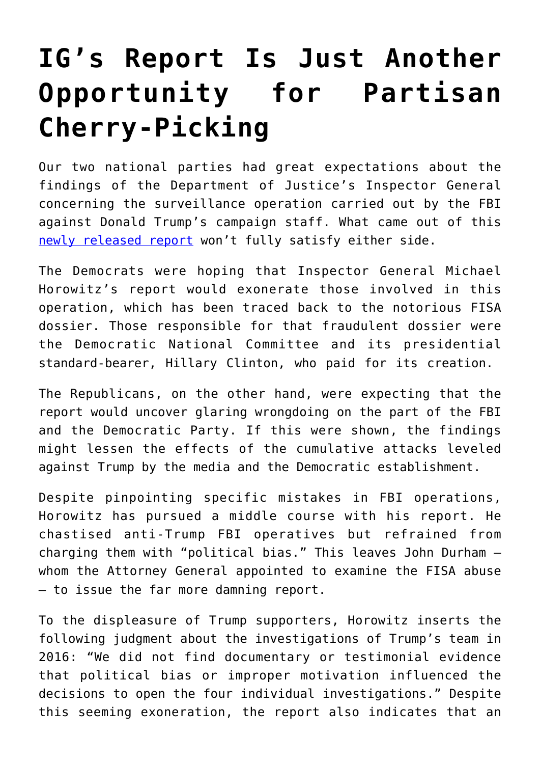## **[IG's Report Is Just Another](https://intellectualtakeout.org/2019/12/igs-report-is-just-another-opportunity-for-partisan-cherry-picking/) [Opportunity for Partisan](https://intellectualtakeout.org/2019/12/igs-report-is-just-another-opportunity-for-partisan-cherry-picking/) [Cherry-Picking](https://intellectualtakeout.org/2019/12/igs-report-is-just-another-opportunity-for-partisan-cherry-picking/)**

Our two national parties had great expectations about the findings of the Department of Justice's Inspector General concerning the surveillance operation carried out by the FBI against Donald Trump's campaign staff. What came out of this [newly released report](https://www.justice.gov/storage/120919-examination.pdf) won't fully satisfy either side.

The Democrats were hoping that Inspector General Michael Horowitz's report would exonerate those involved in this operation, which has been traced back to the notorious FISA dossier. Those responsible for that fraudulent dossier were the Democratic National Committee and its presidential standard-bearer, Hillary Clinton, who paid for its creation.

The Republicans, on the other hand, were expecting that the report would uncover glaring wrongdoing on the part of the FBI and the Democratic Party. If this were shown, the findings might lessen the effects of the cumulative attacks leveled against Trump by the media and the Democratic establishment.

Despite pinpointing specific mistakes in FBI operations, Horowitz has pursued a middle course with his report. He chastised anti-Trump FBI operatives but refrained from charging them with "political bias." This leaves John Durham – whom the Attorney General appointed to examine the FISA abuse – to issue the far more damning report.

To the displeasure of Trump supporters, Horowitz inserts the following judgment about the investigations of Trump's team in 2016: "We did not find documentary or testimonial evidence that political bias or improper motivation influenced the decisions to open the four individual investigations." Despite this seeming exoneration, the report also indicates that an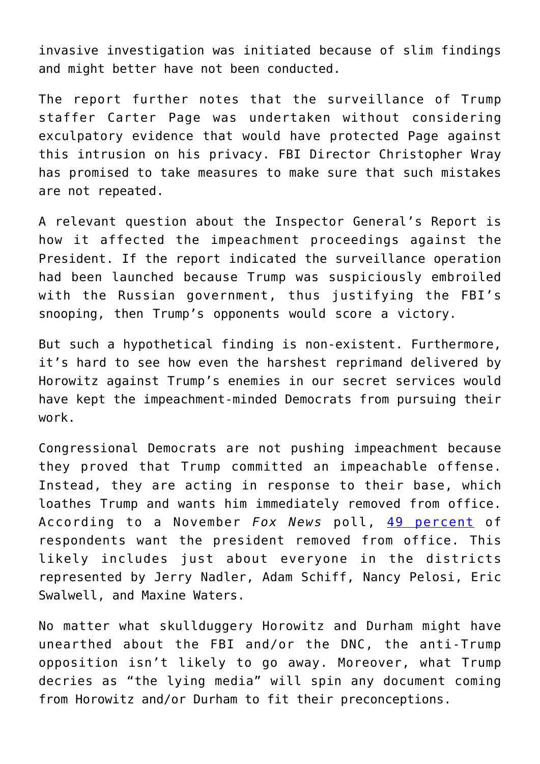invasive investigation was initiated because of slim findings and might better have not been conducted.

The report further notes that the surveillance of Trump staffer Carter Page was undertaken without considering exculpatory evidence that would have protected Page against this intrusion on his privacy. FBI Director Christopher Wray has promised to take measures to make sure that such mistakes are not repeated.

A relevant question about the Inspector General's Report is how it affected the impeachment proceedings against the President. If the report indicated the surveillance operation had been launched because Trump was suspiciously embroiled with the Russian government, thus justifying the FBI's snooping, then Trump's opponents would score a victory.

But such a hypothetical finding is non-existent. Furthermore, it's hard to see how even the harshest reprimand delivered by Horowitz against Trump's enemies in our secret services would have kept the impeachment-minded Democrats from pursuing their work.

Congressional Democrats are not pushing impeachment because they proved that Trump committed an impeachable offense. Instead, they are acting in response to their base, which loathes Trump and wants him immediately removed from office. According to a November *Fox News* poll, [49 percent](https://www.foxnews.com/politics/fox-news-poll-49-percent-favor-impeaching-trump) of respondents want the president removed from office. This likely includes just about everyone in the districts represented by Jerry Nadler, Adam Schiff, Nancy Pelosi, Eric Swalwell, and Maxine Waters.

No matter what skullduggery Horowitz and Durham might have unearthed about the FBI and/or the DNC, the anti-Trump opposition isn't likely to go away. Moreover, what Trump decries as "the lying media" will spin any document coming from Horowitz and/or Durham to fit their preconceptions.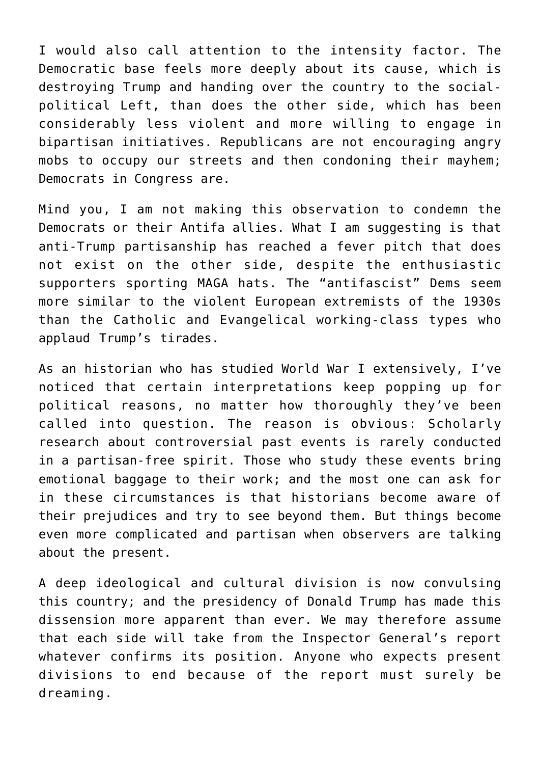I would also call attention to the intensity factor. The Democratic base feels more deeply about its cause, which is destroying Trump and handing over the country to the socialpolitical Left, than does the other side, which has been considerably less violent and more willing to engage in bipartisan initiatives. Republicans are not encouraging angry mobs to occupy our streets and then condoning their mayhem; Democrats in Congress are.

Mind you, I am not making this observation to condemn the Democrats or their Antifa allies. What I am suggesting is that anti-Trump partisanship has reached a fever pitch that does not exist on the other side, despite the enthusiastic supporters sporting MAGA hats. The "antifascist" Dems seem more similar to the violent European extremists of the 1930s than the Catholic and Evangelical working-class types who applaud Trump's tirades.

As an historian who has studied World War I extensively, I've noticed that certain interpretations keep popping up for political reasons, no matter how thoroughly they've been called into question. The reason is obvious: Scholarly research about controversial past events is rarely conducted in a partisan-free spirit. Those who study these events bring emotional baggage to their work; and the most one can ask for in these circumstances is that historians become aware of their prejudices and try to see beyond them. But things become even more complicated and partisan when observers are talking about the present.

A deep ideological and cultural division is now convulsing this country; and the presidency of Donald Trump has made this dissension more apparent than ever. We may therefore assume that each side will take from the Inspector General's report whatever confirms its position. Anyone who expects present divisions to end because of the report must surely be dreaming.